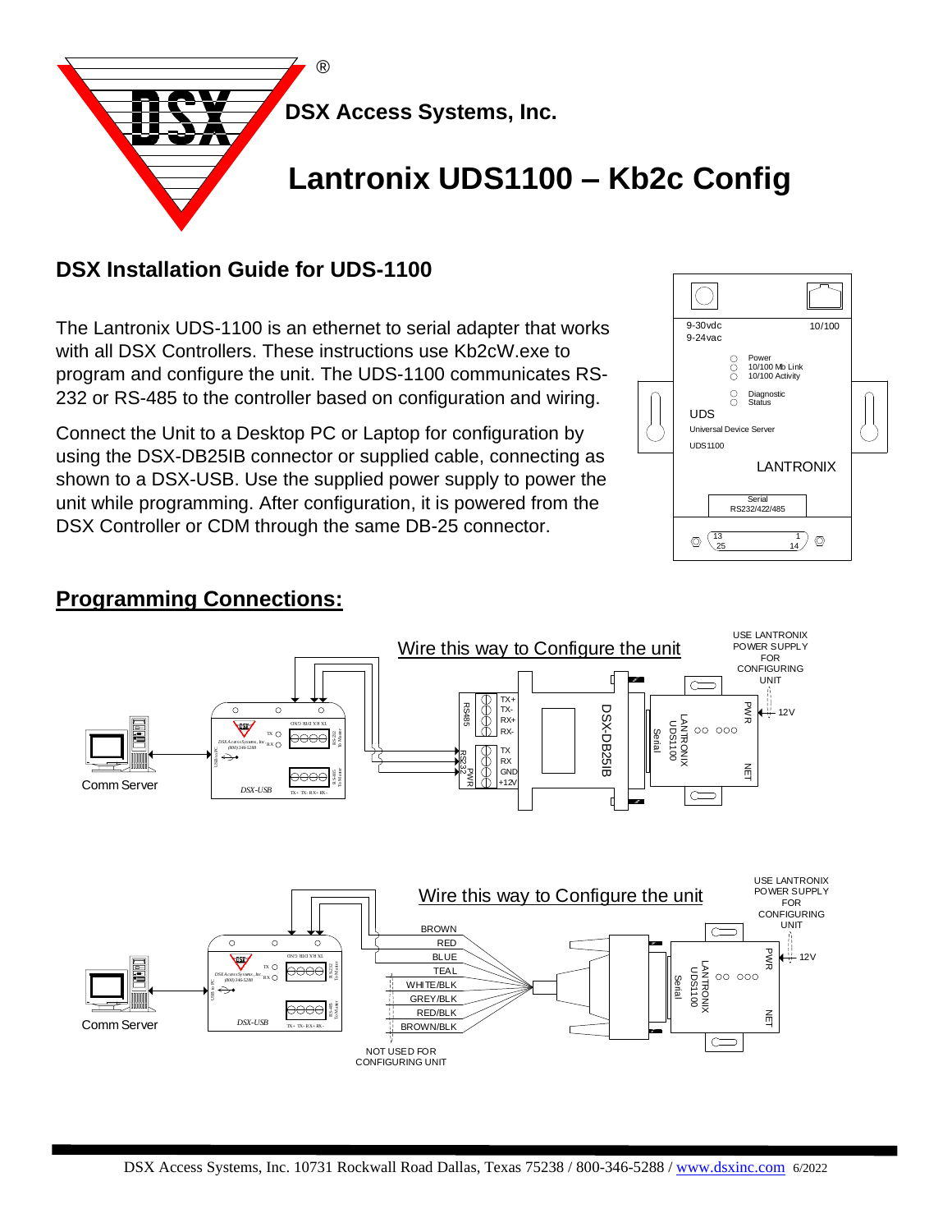

# **DSX Installation Guide for UDS-1100**

The Lantronix UDS-1100 is an ethernet to serial adapter that works with all DSX Controllers. These instructions use Kb2cW.exe to program and configure the unit. The UDS-1100 communicates RS-232 or RS-485 to the controller based on configuration and wiring.

Connect the Unit to a Desktop PC or Laptop for configuration by using the DSX-DB25IB connector or supplied cable, connecting as shown to a DSX-USB. Use the supplied power supply to power the unit while programming. After configuration, it is powered from the DSX Controller or CDM through the same DB-25 connector.



 $\frac{2}{3}$ 

 $\bigcap$ 

## **Programming Connections:**



WHITE/BLK GREY/BLK RED/BLK

NOT USED FOR CONFIGURING UNIT

R S-485 To Master

*DSX-USB*

 $Comm$  Server  $DSX-USB$   $\overline{X}$   $\overline{X}$   $\overline{X}$   $\overline{X}$   $\overline{X}$   $\overline{X}$   $\overline{X}$   $\overline{X}$   $\overline{X}$   $\overline{X}$   $\overline{X}$   $\overline{X}$   $\overline{X}$   $\overline{X}$   $\overline{X}$   $\overline{X}$   $\overline{X}$   $\overline{X}$   $\overline{X}$   $\overline{X}$   $\overline{X}$   $\overline{X}$   $\overline$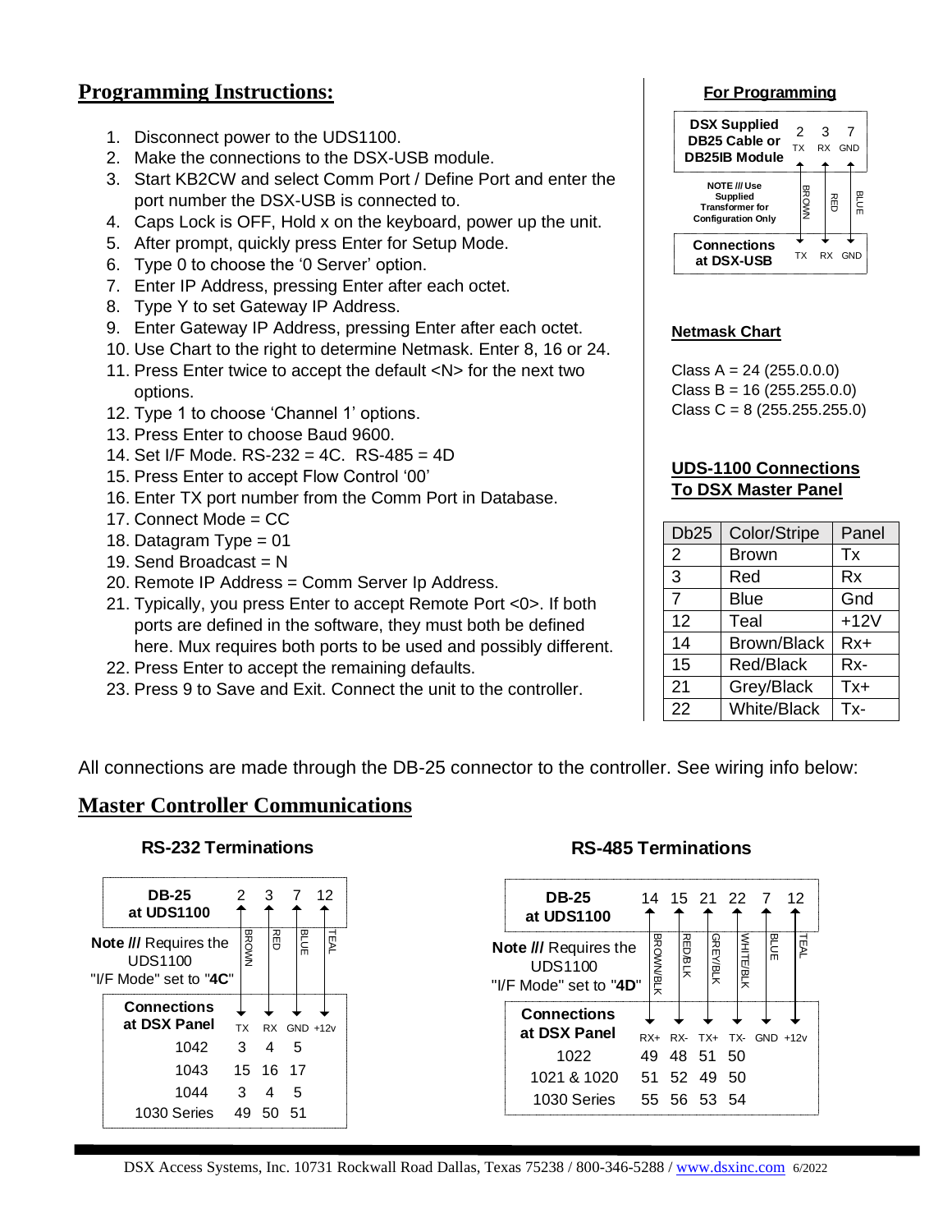## **Programming Instructions:**

- 1. Disconnect power to the UDS1100.
- 2. Make the connections to the DSX-USB module.
- 3. Start KB2CW and select Comm Port / Define Port and enter the port number the DSX-USB is connected to.
- 4. Caps Lock is OFF, Hold x on the keyboard, power up the unit.
- 5. After prompt, quickly press Enter for Setup Mode.
- 6. Type 0 to choose the '0 Server' option.
- 7. Enter IP Address, pressing Enter after each octet.
- 8. Type Y to set Gateway IP Address.
- 9. Enter Gateway IP Address, pressing Enter after each octet.
- 10. Use Chart to the right to determine Netmask. Enter 8, 16 or 24.
- 11. Press Enter twice to accept the default <N> for the next two options.
- 12. Type 1 to choose 'Channel 1' options.
- 13. Press Enter to choose Baud 9600.
- 14. Set I/F Mode. RS-232 = 4C. RS-485 = 4D
- 15. Press Enter to accept Flow Control '00'
- 16. Enter TX port number from the Comm Port in Database.
- 17. Connect Mode = CC
- 18. Datagram Type = 01
- 19. Send Broadcast =  $N$
- 20. Remote IP Address = Comm Server Ip Address.
- 21. Typically, you press Enter to accept Remote Port <0>. If both ports are defined in the software, they must both be defined here. Mux requires both ports to be used and possibly different.
- 22. Press Enter to accept the remaining defaults.
- 23. Press 9 to Save and Exit. Connect the unit to the controller.

#### **For Programming**



### **Netmask Chart**

 $Class A = 24 (255.0.0.0)$  $Class B = 16 (255.255.0.0)$ Class C =  $8(255.255.255.0)$ 

#### **UDS-1100 Connections To DSX Master Panel**

| Db <sub>25</sub> | Color/Stripe       | Panel  |
|------------------|--------------------|--------|
| 2                | <b>Brown</b>       | Tx     |
| 3                | Red                | Rx     |
| 7                | <b>Blue</b>        | Gnd    |
| 12               | Teal               | $+12V$ |
| 14               | <b>Brown/Black</b> | $Rx+$  |
| 15               | <b>Red/Black</b>   | Rx-    |
| 21               | Grey/Black         | Tx+    |
| 22               | <b>White/Black</b> | Tx-    |

All connections are made through the DB-25 connector to the controller. See wiring info below:

### **Master Controller Communications**

#### **RS-232 Terminations**

| <b>DB-25</b><br>at UDS1100                                 | 2 |              | З |           |     |             | 12   |
|------------------------------------------------------------|---|--------------|---|-----------|-----|-------------|------|
| Note /// Requires the<br>UDS1100<br>"I/F Mode" set to "4C" |   | <b>BROWN</b> |   | 祒         |     | <b>BLUE</b> | TEAL |
| <b>Connections</b><br>at DSX Panel                         |   | <b>TX</b>    |   | <b>RX</b> |     | $GND +12v$  |      |
| 1042                                                       |   | 3            | 4 |           |     | 5           |      |
| 1043                                                       |   | 15           |   | 16 17     |     |             |      |
| 1044                                                       |   | 3            |   | 4         |     | 5           |      |
| 1030 Series                                                |   | 49           |   | 50        | .51 |             |      |

### **RS-485 Terminations**

| <b>DB-25</b><br>at UDS1100                                        |    | 14               |                | 15 21 22 7      |     |           |                      | 12   |
|-------------------------------------------------------------------|----|------------------|----------------|-----------------|-----|-----------|----------------------|------|
| <b>Note /// Requires the</b><br>UDS1100<br>"I/F Mode" set to "4D" |    | <b>BROWN/BLK</b> | <b>RED/BLK</b> | <b>GREY/BLK</b> |     | УНІТЕ/ВЦК | BLUE                 | TEAL |
| <b>Connections</b><br>at DSX Panel                                |    | $RX+$            |                |                 |     |           | RX- TX+ TX- GND +12v |      |
| 1022                                                              | 49 |                  | 48 51          |                 | -50 |           |                      |      |
| 1021 & 1020<br>51 52 49                                           |    |                  |                |                 | 50  |           |                      |      |
| 1030 Series                                                       |    | 55 56 53 54      |                |                 |     |           |                      |      |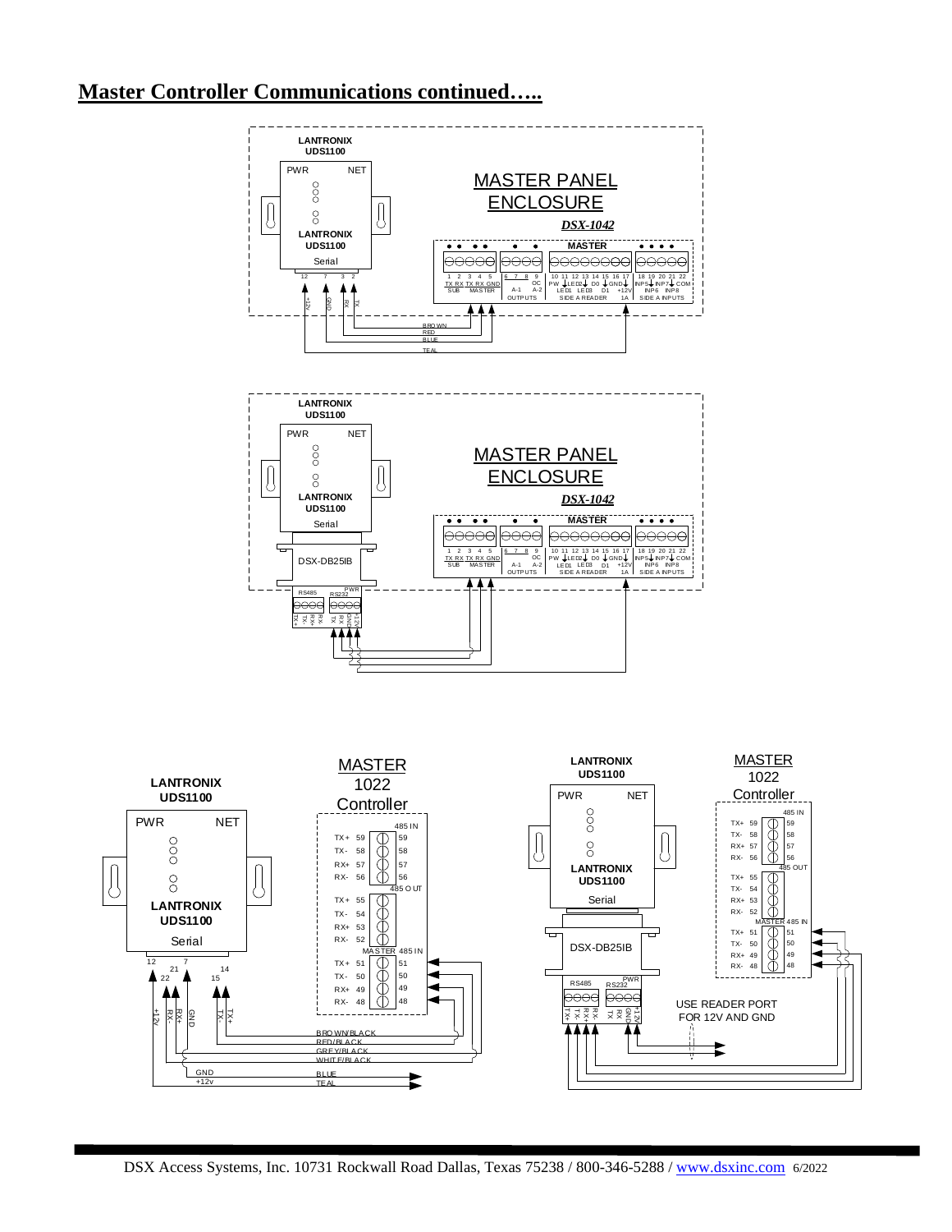# **Master Controller Communications continued…..**